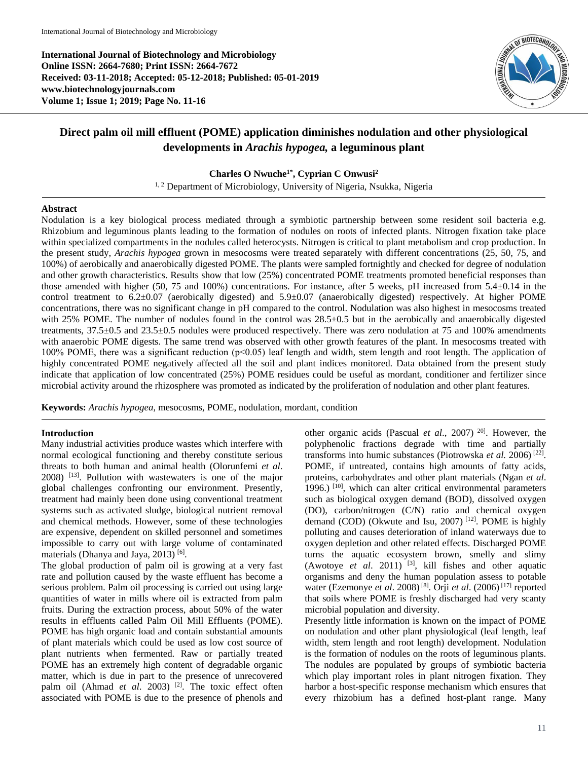**International Journal of Biotechnology and Microbiology Online ISSN: 2664-7680; Print ISSN: 2664-7672 Received: 03-11-2018; Accepted: 05-12-2018; Published: 05-01-2019 www.biotechnologyjournals.com Volume 1; Issue 1; 2019; Page No. 11-16**



# **Direct palm oil mill effluent (POME) application diminishes nodulation and other physiological developments in** *Arachis hypogea,* **a leguminous plant**

**Charles O Nwuche1\* , Cyprian C Onwusi<sup>2</sup>**

<sup>1, 2</sup> Department of Microbiology, University of Nigeria, Nsukka, Nigeria

## **Abstract**

Nodulation is a key biological process mediated through a symbiotic partnership between some resident soil bacteria e.g. Rhizobium and leguminous plants leading to the formation of nodules on roots of infected plants. Nitrogen fixation take place within specialized compartments in the nodules called heterocysts. Nitrogen is critical to plant metabolism and crop production. In the present study, *Arachis hypogea* grown in mesocosms were treated separately with different concentrations (25, 50, 75, and 100%) of aerobically and anaerobically digested POME. The plants were sampled fortnightly and checked for degree of nodulation and other growth characteristics. Results show that low (25%) concentrated POME treatments promoted beneficial responses than those amended with higher (50, 75 and 100%) concentrations. For instance, after 5 weeks, pH increased from  $5.4\pm0.14$  in the control treatment to  $6.2\pm0.07$  (aerobically digested) and  $5.9\pm0.07$  (anaerobically digested) respectively. At higher POME concentrations, there was no significant change in pH compared to the control. Nodulation was also highest in mesocosms treated with 25% POME. The number of nodules found in the control was  $28.5\pm0.5$  but in the aerobically and anaerobically digested treatments, 37.5±0.5 and 23.5±0.5 nodules were produced respectively. There was zero nodulation at 75 and 100% amendments with anaerobic POME digests. The same trend was observed with other growth features of the plant. In mesocosms treated with 100% POME, there was a significant reduction (p˂0.05) leaf length and width, stem length and root length. The application of highly concentrated POME negatively affected all the soil and plant indices monitored. Data obtained from the present study indicate that application of low concentrated (25%) POME residues could be useful as mordant, conditioner and fertilizer since microbial activity around the rhizosphere was promoted as indicated by the proliferation of nodulation and other plant features.

**Keywords:** *Arachis hypogea*, mesocosms, POME, nodulation, mordant, condition

## **Introduction**

Many industrial activities produce wastes which interfere with normal ecological functioning and thereby constitute serious threats to both human and animal health (Olorunfemi *et al*. 2008) [13]. Pollution with wastewaters is one of the major global challenges confronting our environment. Presently, treatment had mainly been done using conventional treatment systems such as activated sludge, biological nutrient removal and chemical methods. However, some of these technologies are expensive, dependent on skilled personnel and sometimes impossible to carry out with large volume of contaminated materials (Dhanya and Jaya, 2013)<sup>[6]</sup>.

The global production of palm oil is growing at a very fast rate and pollution caused by the waste effluent has become a serious problem. Palm oil processing is carried out using large quantities of water in mills where oil is extracted from palm fruits. During the extraction process, about 50% of the water results in effluents called Palm Oil Mill Effluents (POME). POME has high organic load and contain substantial amounts of plant materials which could be used as low cost source of plant nutrients when fermented. Raw or partially treated POME has an extremely high content of degradable organic matter, which is due in part to the presence of unrecovered palm oil (Ahmad *et al.* 2003)<sup>[2]</sup>. The toxic effect often associated with POME is due to the presence of phenols and other organic acids (Pascual *et al*., 2007) 20]. However, the polyphenolic fractions degrade with time and partially transforms into humic substances (Piotrowska *et al.* 2006)<sup>[22]</sup>. POME, if untreated, contains high amounts of fatty acids, proteins, carbohydrates and other plant materials (Ngan *et al*. 1996.)  $[10]$ , which can alter critical environmental parameters such as biological oxygen demand (BOD), dissolved oxygen (DO), carbon/nitrogen (C/N) ratio and chemical oxygen demand (COD) (Okwute and Isu, 2007) [12]. POME is highly polluting and causes deterioration of inland waterways due to oxygen depletion and other related effects. Discharged POME turns the aquatic ecosystem brown, smelly and slimy (Awotoye *et al*. 2011) [3], kill fishes and other aquatic organisms and deny the human population assess to potable water (Ezemonye *et al*. 2008) [8]. Orji *et al*. (2006) [17] reported that soils where POME is freshly discharged had very scanty microbial population and diversity.

Presently little information is known on the impact of POME on nodulation and other plant physiological (leaf length, leaf width, stem length and root length) development. Nodulation is the formation of nodules on the roots of leguminous plants. The nodules are populated by groups of symbiotic bacteria which play important roles in plant nitrogen fixation. They harbor a host-specific response mechanism which ensures that every rhizobium has a defined host-plant range. Many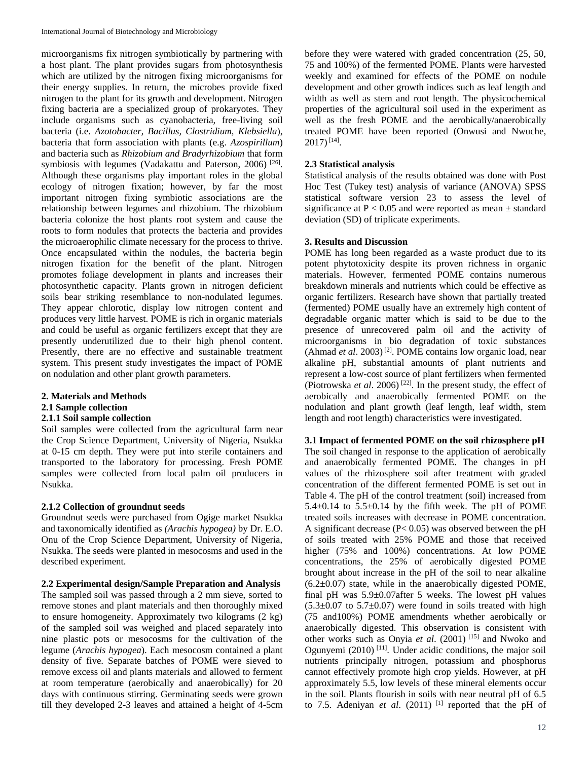microorganisms fix nitrogen symbiotically by partnering with a host plant. The plant provides sugars from photosynthesis which are utilized by the nitrogen fixing microorganisms for their energy supplies. In return, the microbes provide fixed nitrogen to the plant for its growth and development. Nitrogen fixing bacteria are a specialized group of prokaryotes. They include organisms such as cyanobacteria, free-living soil bacteria (i.e. *Azotobacter, Bacillus, Clostridium, Klebsiella*), bacteria that form association with plants (e.g. *Azospirillum*) and bacteria such as *Rhizobium and Bradyrhizobium* that form symbiosis with legumes (Vadakattu and Paterson, 2006)<sup>[26]</sup>. Although these organisms play important roles in the global ecology of nitrogen fixation; however, by far the most important nitrogen fixing symbiotic associations are the relationship between legumes and rhizobium. The rhizobium bacteria colonize the host plants root system and cause the roots to form nodules that protects the bacteria and provides the microaerophilic climate necessary for the process to thrive. Once encapsulated within the nodules, the bacteria begin nitrogen fixation for the benefit of the plant. Nitrogen promotes foliage development in plants and increases their photosynthetic capacity. Plants grown in nitrogen deficient soils bear striking resemblance to non-nodulated legumes. They appear chlorotic, display low nitrogen content and produces very little harvest. POME is rich in organic materials and could be useful as organic fertilizers except that they are presently underutilized due to their high phenol content. Presently, there are no effective and sustainable treatment system. This present study investigates the impact of POME on nodulation and other plant growth parameters.

**2. Materials and Methods**

## **2.1 Sample collection**

## **2.1.1 Soil sample collection**

Soil samples were collected from the agricultural farm near the Crop Science Department, University of Nigeria, Nsukka at 0-15 cm depth. They were put into sterile containers and transported to the laboratory for processing. Fresh POME samples were collected from local palm oil producers in Nsukka.

## **2.1.2 Collection of groundnut seeds**

Groundnut seeds were purchased from Ogige market Nsukka and taxonomically identified as *(Arachis hypogea)* by Dr. E.O. Onu of the Crop Science Department, University of Nigeria, Nsukka. The seeds were planted in mesocosms and used in the described experiment.

## **2.2 Experimental design/Sample Preparation and Analysis**

The sampled soil was passed through a 2 mm sieve, sorted to remove stones and plant materials and then thoroughly mixed to ensure homogeneity. Approximately two kilograms (2 kg) of the sampled soil was weighed and placed separately into nine plastic pots or mesocosms for the cultivation of the legume (*Arachis hypogea*). Each mesocosm contained a plant density of five. Separate batches of POME were sieved to remove excess oil and plants materials and allowed to ferment at room temperature (aerobically and anaerobically) for 20 days with continuous stirring. Germinating seeds were grown till they developed 2-3 leaves and attained a height of 4-5cm before they were watered with graded concentration (25, 50, 75 and 100%) of the fermented POME. Plants were harvested weekly and examined for effects of the POME on nodule development and other growth indices such as leaf length and width as well as stem and root length. The physicochemical properties of the agricultural soil used in the experiment as well as the fresh POME and the aerobically/anaerobically treated POME have been reported (Onwusi and Nwuche,  $2017)^{[14]}$ .

## **2.3 Statistical analysis**

Statistical analysis of the results obtained was done with Post Hoc Test (Tukey test) analysis of variance (ANOVA) SPSS statistical software version 23 to assess the level of significance at  $P < 0.05$  and were reported as mean  $\pm$  standard deviation (SD) of triplicate experiments.

## **3. Results and Discussion**

POME has long been regarded as a waste product due to its potent phytotoxicity despite its proven richness in organic materials. However, fermented POME contains numerous breakdown minerals and nutrients which could be effective as organic fertilizers. Research have shown that partially treated (fermented) POME usually have an extremely high content of degradable organic matter which is said to be due to the presence of unrecovered palm oil and the activity of microorganisms in bio degradation of toxic substances (Ahmad *et al*. 2003) [2]. POME contains low organic load, near alkaline pH, substantial amounts of plant nutrients and represent a low-cost source of plant fertilizers when fermented (Piotrowska *et al.* 2006)<sup>[22]</sup>. In the present study, the effect of aerobically and anaerobically fermented POME on the nodulation and plant growth (leaf length, leaf width, stem length and root length) characteristics were investigated.

## **3.1 Impact of fermented POME on the soil rhizosphere pH**

The soil changed in response to the application of aerobically and anaerobically fermented POME. The changes in pH values of the rhizosphere soil after treatment with graded concentration of the different fermented POME is set out in Table 4. The pH of the control treatment (soil) increased from  $5.4\pm0.14$  to  $5.5\pm0.14$  by the fifth week. The pH of POME treated soils increases with decrease in POME concentration. A significant decrease (P< 0.05) was observed between the pH of soils treated with 25% POME and those that received higher (75% and 100%) concentrations. At low POME concentrations, the 25% of aerobically digested POME brought about increase in the pH of the soil to near alkaline  $(6.2\pm0.07)$  state, while in the anaerobically digested POME, final pH was 5.9±0.07after 5 weeks. The lowest pH values  $(5.3\pm0.07$  to  $5.7\pm0.07)$  were found in soils treated with high (75 and100%) POME amendments whether aerobically or anaerobically digested. This observation is consistent with other works such as Onyia *et al*. (2001) [15] and Nwoko and Ogunyemi  $(2010)$ <sup>[11]</sup>. Under acidic conditions, the major soil nutrients principally nitrogen, potassium and phosphorus cannot effectively promote high crop yields. However, at pH approximately 5.5, low levels of these mineral elements occur in the soil. Plants flourish in soils with near neutral pH of 6.5 to 7.5. Adeniyan *et al.* (2011) <sup>[1]</sup> reported that the pH of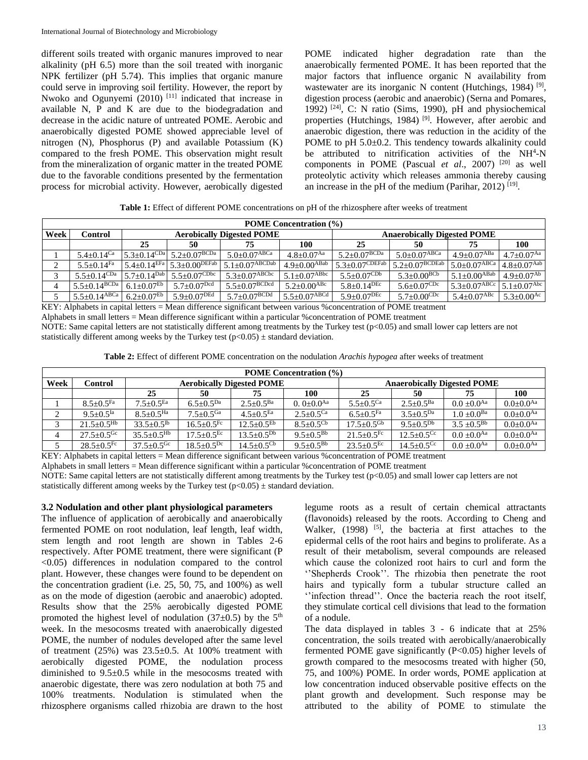different soils treated with organic manures improved to near alkalinity (pH 6.5) more than the soil treated with inorganic NPK fertilizer (pH 5.74). This implies that organic manure could serve in improving soil fertility. However, the report by Nwoko and Ogunyemi  $(2010)$ <sup>[11]</sup> indicated that increase in available N, P and K are due to the biodegradation and decrease in the acidic nature of untreated POME. Aerobic and anaerobically digested POME showed appreciable level of nitrogen (N), Phosphorus (P) and available Potassium (K) compared to the fresh POME. This observation might result from the mineralization of organic matter in the treated POME due to the favorable conditions presented by the fermentation process for microbial activity. However, aerobically digested POME indicated higher degradation rate than the anaerobically fermented POME. It has been reported that the major factors that influence organic N availability from wastewater are its inorganic N content (Hutchings, 1984)<sup>[9]</sup>, digestion process (aerobic and anaerobic) (Serna and Pomares, 1992)  $[24]$ , C: N ratio (Sims, 1990), pH and physiochemical properties (Hutchings, 1984)<sup>[9]</sup>. However, after aerobic and anaerobic digestion, there was reduction in the acidity of the POME to pH 5.0±0.2. This tendency towards alkalinity could be attributed to nitrification activities of the NH<sup>4</sup>-N components in POME (Pascual *et al*., 2007) [20] as well proteolytic activity which releases ammonia thereby causing an increase in the pH of the medium (Parihar, 2012)  $[19]$ .

**Table 1:** Effect of different POME concentrations on pH of the rhizosphere after weeks of treatment

| <b>POME Concentration (%)</b> |                                       |                              |                                                               |                                  |                                |                                    |                               |                                                              |                                |  |  |
|-------------------------------|---------------------------------------|------------------------------|---------------------------------------------------------------|----------------------------------|--------------------------------|------------------------------------|-------------------------------|--------------------------------------------------------------|--------------------------------|--|--|
| Week                          | <b>Control</b>                        |                              |                                                               | <b>Aerobically Digested POME</b> |                                | <b>Anaerobically Digested POME</b> |                               |                                                              |                                |  |  |
|                               |                                       | 25                           | 50                                                            | 75                               | 100                            | 25                                 | 50                            | 75                                                           | 100                            |  |  |
|                               | $5.4 + 0.14$ Ca                       |                              | $5.3+0.14^{\text{CDa}}$ $5.2+0.07^{\text{BCDa}}$              | $5.0\pm0.07$ <sup>ABCa</sup>     | $4.8 + 0.07$ <sup>Aa</sup>     | $5.2 \pm 0.07^{\rm BCDa}$          | $5.0 + 0.07$ <sup>ABCa</sup>  | $4.9 \pm 0.07$ <sup>ABa</sup>                                | $4.7+0.07$ <sup>Aa</sup>       |  |  |
| $\sim$                        | $5.5+0.14$ Fa                         |                              | $5.4 \pm 0.14$ <sup>EFa</sup> $5.3 \pm 0.00$ <sup>DEFab</sup> | $5.1 \pm 0.07$ ABCDab            | $4.9+0.00^{ABab}$              | $15.3 \pm 0.07$ CDEFab             | $5.2 \pm 0.07^{BCDEab}$       | $5.0+0.07$ ABCa                                              | $14.8 \pm 0.07$ <sup>Aab</sup> |  |  |
|                               | $5.5+0.14$ CDa                        | $5.7 \pm 0.14^{Dab}$ .       | $5.5 \pm 0.07$ CDbc                                           | $5.3 \pm 0.07$ <sup>ABCbc</sup>  | $5.1 + 0.07$ <sup>ABbc</sup>   | $5.5+0.07^{\text{CDb}}$            | $5.3+0.00^{BCb}$              | $5.1 + 0.00$ <sup>ABab</sup>                                 | $4.9+0.07Ab$                   |  |  |
|                               | $5.5 \pm 0.14$ BCDa                   | $6.1 \pm 0.07$ <sup>Eb</sup> | $5.7 \pm 0.07$ <sup>Dcd</sup>                                 | $5.5 \pm 0.07$ BCDcd             | $5.2 \pm 0.00$ <sup>ABc</sup>  | $5.8 \pm 0.14$ <sup>DEc</sup>      | $5.6 \pm 0.07$ <sup>CDc</sup> | $5.3 \pm 0.07$ <sup>ABCc</sup> 5.1 $\pm$ 0.07 <sup>Abc</sup> |                                |  |  |
|                               | $5.5 \pm 0.14 \overline{\text{ABCa}}$ | $6.2 \pm 0.07$ <sup>Eb</sup> | $5.9 + 0.07$ <sup>DEd</sup>                                   | $5.7 \pm 0.07$ <sup>BCDd</sup>   | $5.5 \pm 0.07$ <sup>ABCd</sup> | $5.9 \pm 0.07^{\mathrm{DEC}}$      | $5.7+0.00^{\text{CDc}}$       | $5.4 + 0.07$ <sup>ABc</sup>                                  | $5.3+0.00^{Ac}$                |  |  |

KEY: Alphabets in capital letters = Mean difference significant between various %concentration of POME treatment Alphabets in small letters = Mean difference significant within a particular %concentration of POME treatment NOTE: Same capital letters are not statistically different among treatments by the Turkey test (p<0.05) and small lower cap letters are not statistically different among weeks by the Turkey test ( $p<0.05$ )  $\pm$  standard deviation.

**Table 2:** Effect of different POME concentration on the nodulation *Arachis hypogea* after weeks of treatment

| <b>POME Concentration (%)</b> |                              |                              |                            |                                  |                           |                            |                              |                                    |                           |  |
|-------------------------------|------------------------------|------------------------------|----------------------------|----------------------------------|---------------------------|----------------------------|------------------------------|------------------------------------|---------------------------|--|
| Week                          | Control                      |                              |                            | <b>Aerobically Digested POME</b> |                           |                            |                              | <b>Anaerobically Digested POME</b> |                           |  |
|                               |                              | 25                           | 50                         | 75                               | 100                       | 25                         | 50                           | 75                                 | 100                       |  |
|                               | $8.5 + 0.5$ Fa               | $7.5 + 0.5$ <sup>Ea</sup>    | $6.5 + 0.5Da$              | $2.5 + 0.5^{Ba}$                 | $0.0+0.0^{Aa}$            | $5.5 + 0.5$ <sup>Ca</sup>  | $2.5 + 0.5^{Ba}$             | $0.0 + 0.0$ <sup>Aa</sup>          | $0.0 + 0.0$ <sup>Aa</sup> |  |
| $\bigcap$                     | $9.5 + 0.5$ <sup>Ia</sup>    | $8.5 + 0.5$ <sup>Ha</sup>    | $7.5 + 0.5$ <sup>Ga</sup>  | $4.5 + 0.5$ <sup>Ea</sup>        | $2.5 + 0.5$ <sup>Ca</sup> | $6.5 + 0.5$ Fa             | $3.5 + 0.5Da$                | $1.0 + 0.0^{Ba}$                   | $0.0 + 0.0$ <sup>Aa</sup> |  |
|                               | $21.5 + 0.5$ <sup>Hb</sup>   | $33.5 + 0.5$ <sup>Ib</sup>   | $16.5 + 0.5$ <sup>Fc</sup> | $12.5+0.5^{Eb}$                  | $8.5 + 0.5$ <sup>Cb</sup> | $17.5 + 0.5$ <sup>Gb</sup> | $9.5 + 0.5^{Db}$             | $3.5 \pm 0.5^{Bb}$                 | $0.0 + 0.0$ <sup>Aa</sup> |  |
|                               | $27.5+0.5$ <sup>Gc</sup>     | $35.5+0.5$ <sup>Hb</sup>     | $17.5 + 0.5$ <sup>Ec</sup> | $13.5 + 0.5^{Db}$                | $9.5 + 0.5^{Bb}$          | $21.5+0.5$ <sup>Fc</sup>   | $12.5 + 0.5$ <sup>Cc</sup>   | $0.0 + 0.0$ <sup>Aa</sup>          | $0.0 + 0.0$ <sup>Aa</sup> |  |
|                               | $28.5 \pm 0.5$ <sup>Fc</sup> | $37.5 \pm 0.5$ <sup>Gc</sup> | $18.5 + 0.5^{Dc}$          | $14.5 + 0.5$ <sup>Cb</sup>       | $9.5 + 0.5^{Bb}$          | $23.5+0.5^{Ec}$            | $14.5 \pm 0.5$ <sup>Cc</sup> | $0.0 + 0.0$ <sup>Aa</sup>          | $0.0 + 0.0$ <sup>Aa</sup> |  |

KEY: Alphabets in capital letters = Mean difference significant between various %concentration of POME treatment

Alphabets in small letters = Mean difference significant within a particular %concentration of POME treatment

NOTE: Same capital letters are not statistically different among treatments by the Turkey test (p<0.05) and small lower cap letters are not statistically different among weeks by the Turkey test ( $p<0.05$ )  $\pm$  standard deviation.

## **3.2 Nodulation and other plant physiological parameters**

The influence of application of aerobically and anaerobically fermented POME on root nodulation, leaf length, leaf width, stem length and root length are shown in Tables 2-6 respectively. After POME treatment, there were significant (P <0.05) differences in nodulation compared to the control plant. However, these changes were found to be dependent on the concentration gradient (i.e. 25, 50, 75, and 100%) as well as on the mode of digestion (aerobic and anaerobic) adopted. Results show that the 25% aerobically digested POME promoted the highest level of nodulation (37 $\pm$ 0.5) by the 5<sup>th</sup> week. In the mesocosms treated with anaerobically digested POME, the number of nodules developed after the same level of treatment  $(25%)$  was  $23.5\pm0.5$ . At 100% treatment with aerobically digested POME, the nodulation process diminished to 9.5±0.5 while in the mesocosms treated with anaerobic digestate, there was zero nodulation at both 75 and 100% treatments. Nodulation is stimulated when the rhizosphere organisms called rhizobia are drawn to the host

legume roots as a result of certain chemical attractants (flavonoids) released by the roots. According to Cheng and Walker, (1998) <sup>[5]</sup>, the bacteria at first attaches to the epidermal cells of the root hairs and begins to proliferate. As a result of their metabolism, several compounds are released which cause the colonized root hairs to curl and form the ''Shepherds Crook''. The rhizobia then penetrate the root hairs and typically form a tubular structure called an "infection thread". Once the bacteria reach the root itself, they stimulate cortical cell divisions that lead to the formation of a nodule.

The data displayed in tables 3 - 6 indicate that at 25% concentration, the soils treated with aerobically/anaerobically fermented POME gave significantly (P<0.05) higher levels of growth compared to the mesocosms treated with higher (50, 75, and 100%) POME. In order words, POME application at low concentration induced observable positive effects on the plant growth and development. Such response may be attributed to the ability of POME to stimulate the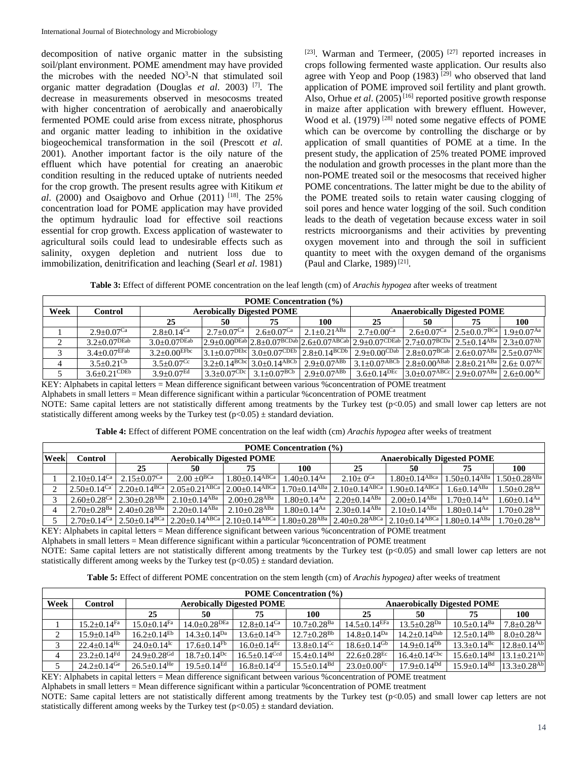decomposition of native organic matter in the subsisting soil/plant environment. POME amendment may have provided the microbes with the needed NO<sup>3</sup>-N that stimulated soil organic matter degradation (Douglas *et al*. 2003) [7]. The decrease in measurements observed in mesocosms treated with higher concentration of aerobically and anaerobically fermented POME could arise from excess nitrate, phosphorus and organic matter leading to inhibition in the oxidative biogeochemical transformation in the soil (Prescott *et al*. 2001). Another important factor is the oily nature of the effluent which have potential for creating an anaerobic condition resulting in the reduced uptake of nutrients needed for the crop growth. The present results agree with Kitikum *et al.* (2000) and Osaigbovo and Orhue (2011) <sup>[18]</sup>. The 25% concentration load for POME application may have provided the optimum hydraulic load for effective soil reactions essential for crop growth. Excess application of wastewater to agricultural soils could lead to undesirable effects such as salinity, oxygen depletion and nutrient loss due to immobilization, denitrification and leaching (Searl *et al*. 1981)

[23]. Warman and Termeer, (2005)<sup>[27]</sup> reported increases in crops following fermented waste application. Our results also agree with Yeop and Poop (1983)<sup>[29]</sup> who observed that land application of POME improved soil fertility and plant growth. Also, Orhue *et al.*  $(2005)^{[16]}$  reported positive growth response in maize after application with brewery effluent. However, Wood et al. (1979) [28] noted some negative effects of POME which can be overcome by controlling the discharge or by application of small quantities of POME at a time. In the present study, the application of 25% treated POME improved the nodulation and growth processes in the plant more than the non-POME treated soil or the mesocosms that received higher POME concentrations. The latter might be due to the ability of the POME treated soils to retain water causing clogging of soil pores and hence water logging of the soil. Such condition leads to the death of vegetation because excess water in soil restricts microorganisms and their activities by preventing oxygen movement into and through the soil in sufficient quantity to meet with the oxygen demand of the organisms (Paul and Clarke, 1989)<sup>[21]</sup>.

**Table 3:** Effect of different POME concentration on the leaf length (cm) of *Arachis hypogea* after weeks of treatment

| Week<br><b>Aerobically Digested POME</b><br><b>Anaerobically Digested POME</b><br>Control<br>75<br>25<br>100<br>25<br>50<br>50<br>75<br>100<br>$2.5 \pm 0.0.7$ <sup>BCa</sup><br>$2.1 + 0.21$ <sup>ABa</sup><br>$2.7+0.07$ <sup>Ca</sup><br>2.6+0.07 <sup>Ca</sup><br>$2.7+0.00$ <sup>Ca</sup><br>$2.8+0.14$ <sup>Ca</sup><br>$2.6 + 0.07$ <sup>Ca</sup><br>$2.9 + 0.07$ <sup>Ca</sup><br>$2.9\pm0.00^{DEab}$ $2.8\pm0.07^{BCDab}$ $2.6\pm0.07^{ABCab}$ $2.9\pm0.07^{CDEab}$ $2.7\pm0.07^{BCDa}$ $2.5\pm0.14^{ABa}$ $2.3\pm0.07^{Ab}$ | <b>POME</b> Concentration (%) |                 |                   |  |  |  |  |  |  |                                |  |
|---------------------------------------------------------------------------------------------------------------------------------------------------------------------------------------------------------------------------------------------------------------------------------------------------------------------------------------------------------------------------------------------------------------------------------------------------------------------------------------------------------------------------------------|-------------------------------|-----------------|-------------------|--|--|--|--|--|--|--------------------------------|--|
|                                                                                                                                                                                                                                                                                                                                                                                                                                                                                                                                       |                               |                 |                   |  |  |  |  |  |  |                                |  |
|                                                                                                                                                                                                                                                                                                                                                                                                                                                                                                                                       |                               |                 |                   |  |  |  |  |  |  |                                |  |
|                                                                                                                                                                                                                                                                                                                                                                                                                                                                                                                                       |                               |                 |                   |  |  |  |  |  |  | $1.9 + 0.07$ <sup>Aa</sup>     |  |
|                                                                                                                                                                                                                                                                                                                                                                                                                                                                                                                                       |                               | $3.2+0.07$ DEab | $3.0\pm0.07$ DEab |  |  |  |  |  |  |                                |  |
| $3.1+0.07^{\text{DEbc}}$ 3.0+0.07CDEb 2.8+0.14BCDb 2.9+0.00CDab 2.8+0.07BCab 2.6+0.07ABa 2.5+0.07Abc<br>$3.4 + 0.07$ EFab<br>$3.2 \pm 0.00$ <sup>EFbc</sup><br>3                                                                                                                                                                                                                                                                                                                                                                      |                               |                 |                   |  |  |  |  |  |  |                                |  |
| $\left  3.1 \pm 0.07^{\text{ABCb}} \right  2.8 \pm 0.00^{\text{ABab}} \left  2.8 \pm 0.21^{\text{ABa}} \right  2.6 \pm 0.07^{\text{Ac}}$<br>$3.2+0.14^{BCbc}$ 3.0+0.14 <sup>ABCb</sup><br>$2.9 \pm 0.07^{\rm Abb}$<br>$3.5 + 0.21$ <sup>Cb</sup><br>$3.5+0.07$ <sup>Cc</sup><br>4                                                                                                                                                                                                                                                     |                               |                 |                   |  |  |  |  |  |  |                                |  |
| $3.0 \pm 0.07$ <sup>ABCc</sup> 2.9 $\pm$ 0.07 <sup>ABa</sup><br>$3.3 \pm 0.07$ CDc<br>$3.1 \pm 0.07$ <sup>BCb</sup><br>$3.6 \pm 0.14$ <sup>DEc</sup><br>$2.9 \pm 0.07^{\rm A B b}$<br>$3.6 \pm 0.21$ CDEb<br>$3.9 \pm 0.07$ <sup>Ed</sup>                                                                                                                                                                                                                                                                                             |                               |                 |                   |  |  |  |  |  |  | $2.6 \pm 0.00^{\overline{A}C}$ |  |

KEY: Alphabets in capital letters = Mean difference significant between various %concentration of POME treatment

Alphabets in small letters = Mean difference significant within a particular %concentration of POME treatment

NOTE: Same capital letters are not statistically different among treatments by the Turkey test (p<0.05) and small lower cap letters are not statistically different among weeks by the Turkey test ( $p<0.05$ )  $\pm$  standard deviation.

**Table 4:** Effect of different POME concentration on the leaf width (cm) *Arachis hypogea* after weeks of treatment

| <b>POME</b> Concentration (%) |                |                                                                |                                                                                                                                      |                                  |                                 |                                                                                                                             |                                                        |                             |                               |  |
|-------------------------------|----------------|----------------------------------------------------------------|--------------------------------------------------------------------------------------------------------------------------------------|----------------------------------|---------------------------------|-----------------------------------------------------------------------------------------------------------------------------|--------------------------------------------------------|-----------------------------|-------------------------------|--|
| Week                          | Control        |                                                                |                                                                                                                                      | <b>Aerobically Digested POME</b> |                                 | <b>Anaerobically Digested POME</b>                                                                                          |                                                        |                             |                               |  |
|                               |                | 25                                                             | 50                                                                                                                                   | 75                               | 100                             | 25                                                                                                                          | 50                                                     | 75                          | 100                           |  |
|                               | $2.10+0.14$ Ca | $2.15+0.07$ <sup>Ca</sup>                                      | $2.00 \pm 0^{BCa}$                                                                                                                   | $1.80 \pm 0.14$ <sup>ABCa</sup>  | $1.40 + 0.14$ <sup>Aa</sup>     | 2.10+0 <sup>Ca</sup>                                                                                                        | $1.80+0.14$ <sup>ABca</sup>   1.50+0.14 <sup>ABa</sup> |                             | $1.50 + 0.28$ <sup>ABa</sup>  |  |
|                               |                | $2.50+0.14$ Ca <sup>2</sup> $2.20+0.14$ <sup>BCa</sup>         | $2.05+0.21$ ABCa $2.00+0.14$ ABCa                                                                                                    |                                  |                                 | $1.70+0.14$ <sup>ABa</sup> 2.10+0.14 <sup>ABCa</sup>                                                                        | $1.90 + 0.14$ ABCa                                     | $1.6 + 0.14$ <sup>ABa</sup> | $1.50 + 0.28$ <sup>Aa</sup>   |  |
|                               |                | $2.60 \pm 0.28$ <sup>Ca</sup>   2.30 $\pm$ 0.28 <sup>ABa</sup> | $2.10 \pm 0.14$ <sup>ABa</sup>                                                                                                       | $2.00 \pm 0.28$ <sup>ABa</sup>   | $1.80 + 0.14$ <sup>Aa</sup>     | $2.20 \pm 0.14$ <sup>ABa</sup>                                                                                              | $2.00+0.14$ <sup>ABa</sup> 1                           | $1.70 + 0.14$ <sup>Aa</sup> | $1.60 \pm 0.14$ <sup>Aa</sup> |  |
|                               |                |                                                                | $2.70+0.28^{Ba}$ 2.40+0.28 <sup>ABa</sup> 2.20+0.14 <sup>ABa</sup>                                                                   | $2.10 \pm 0.28$ <sup>ABa</sup>   | $1.80 \pm 0.14$ <sup>Aa</sup> l | $2.30 \pm 0.14$ <sup>ABa</sup>                                                                                              | $2.10+0.14$ <sup>ABa</sup>                             | $1.80 + 0.14$ <sup>Aa</sup> | $1.70 + 0.28$ <sup>Aa</sup>   |  |
|                               |                |                                                                | $\left  2.70 \pm 0.14^\text{Ca} \right  2.50 \pm 0.14^\text{BCa} \left  2.20 \pm 0.14^\text{ABCa} \right  2.10 \pm 0.14^\text{ABCa}$ |                                  |                                 | $1.80\pm0.28$ <sup>ABa</sup> 2.40 $\pm$ 0.28 <sup>ABCa</sup> 2.10 $\pm$ 0.14 <sup>ABCa</sup> 1.80 $\pm$ 0.14 <sup>ABa</sup> |                                                        |                             | $1.70 \pm 0.28$ <sup>Aa</sup> |  |

KEY: Alphabets in capital letters = Mean difference significant between various %concentration of POME treatment

Alphabets in small letters = Mean difference significant within a particular %concentration of POME treatment

NOTE: Same capital letters are not statistically different among treatments by the Turkey test (p<0.05) and small lower cap letters are not statistically different among weeks by the Turkey test ( $p<0.05$ )  $\pm$  standard deviation.

**Table 5:** Effect of different POME concentration on the stem length (cm) of *Arachis hypogea)* after weeks of treatment

| <b>POME</b> Concentration (%) |                               |                                 |                               |                                  |                               |                                |                                    |                                                             |                            |  |  |
|-------------------------------|-------------------------------|---------------------------------|-------------------------------|----------------------------------|-------------------------------|--------------------------------|------------------------------------|-------------------------------------------------------------|----------------------------|--|--|
| Week                          | Control                       |                                 |                               | <b>Aerobically Digested POME</b> |                               |                                | <b>Anaerobically Digested POME</b> |                                                             |                            |  |  |
|                               |                               | 25                              | 50                            | 75                               | 100                           | 25                             | 50                                 | 75                                                          | 100                        |  |  |
|                               | $15.2 \pm 0.14$ <sup>Fa</sup> | $15.0+0.14$ Fa                  | $14.0{\pm}0.28^{\text{DEa}}$  | $12.8 \pm 0.14$ <sup>Ca</sup>    | $10.7 \pm 0.28$ <sup>Ba</sup> | $14.5 \pm 0.14$ <sup>EFa</sup> | $13.5+0.28^{Da}$                   | $10.5 + 0.14$ <sup>Ba</sup>                                 | $7.8 + 0.28$ <sup>Aa</sup> |  |  |
|                               | $15.9+0.14$ <sup>Eb</sup>     | $16.2 \pm 0.14$ <sup>Eb</sup>   | $14.3 + 0.14$ Da              | $13.6 \pm 0.14$ <sup>Cb</sup>    | $12.7 \pm 0.28$ <sup>Bb</sup> | $14.8 \pm 0.14$ <sup>Da</sup>  | $14.2+0.14^{Dab}$                  | $12.5+0.14^{Bb}$                                            | $8.0 + 0.28$ <sup>Aa</sup> |  |  |
|                               | $22.4 \pm 0.14$ <sup>Hc</sup> | $24.0 \pm 0.14$ <sup>Ic</sup>   | $17.6 \pm 0.14$ <sup>Fb</sup> | $16.0 \pm 0.14$ <sup>Ec</sup>    | $13.8 \pm 0.14$ <sup>Cc</sup> | $18.6 \pm 0.14$ <sup>Gb</sup>  | $14.9 \pm 0.14^\text{Db}$          | $13.3 \pm 0.14$ <sup>Bc</sup>                               | $12.8 + 0.14^{Ab}$         |  |  |
| $\overline{4}$                | $23.2 \pm 0.14$ <sup>Fd</sup> | $24.9 \pm 0.28$ <sup>Gd</sup>   | $18.7+0.14^{Dc}$              | $16.5 + 0.14$ <sup>Ccd</sup>     | $15.4 \pm 0.14^{Bd}$          | $22.6 + 0.28$ <sub>Ec</sub>    | $16.4 \pm 0.14$ <sup>Cbc</sup>     | $15.6 + 0.14$ <sup>Bd</sup>                                 | $13.1 + 0.21^{Ab}$         |  |  |
|                               | $24.2 \pm 0.14$ <sup>Ge</sup> | $26.5 \pm 0.14^{\overline{He}}$ | $19.5 \pm 0.14$ <sup>Ed</sup> | $16.8 \pm 0.14$ <sup>Cd</sup>    | $15.5 \pm 0.14$ <sup>Bd</sup> | $23.0\pm0.00$ <sup>Fc</sup>    | $17.9 \pm 0.14^{Dd}$               | $15.9 \pm 0.14$ <sup>Bd</sup> $13.3 \pm 0.28$ <sup>Ab</sup> |                            |  |  |

KEY: Alphabets in capital letters = Mean difference significant between various %concentration of POME treatment

Alphabets in small letters = Mean difference significant within a particular %concentration of POME treatment

NOTE: Same capital letters are not statistically different among treatments by the Turkey test (p<0.05) and small lower cap letters are not statistically different among weeks by the Turkey test ( $p<0.05$ )  $\pm$  standard deviation.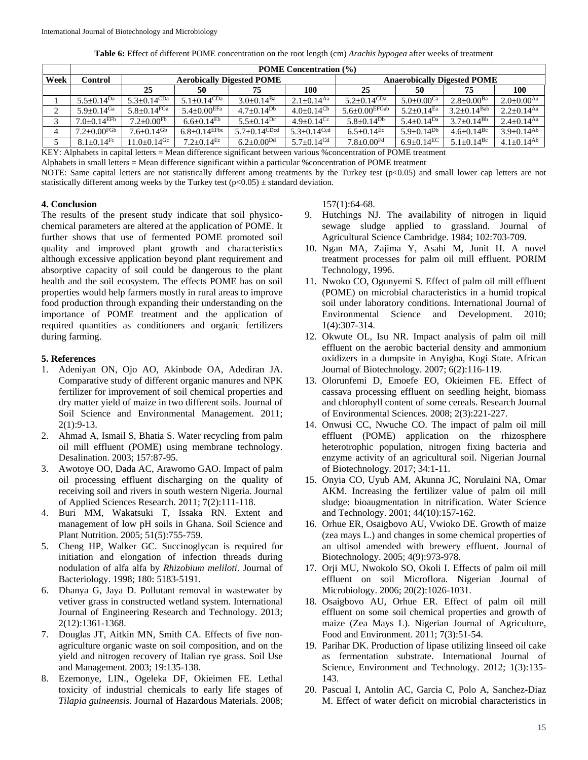| Table 6: Effect of different POME concentration on the root length (cm) Arachis hypogea after weeks of treatment |
|------------------------------------------------------------------------------------------------------------------|
|------------------------------------------------------------------------------------------------------------------|

|      | <b>POME Concentration (%)</b>         |                               |                                |                                  |                                    |                              |                              |                            |                              |  |  |
|------|---------------------------------------|-------------------------------|--------------------------------|----------------------------------|------------------------------------|------------------------------|------------------------------|----------------------------|------------------------------|--|--|
| Week | Control                               |                               |                                | <b>Aerobically Digested POME</b> | <b>Anaerobically Digested POME</b> |                              |                              |                            |                              |  |  |
|      |                                       | 25                            | 50                             | 75                               | 100                                | 25                           | 50                           | 75                         | 100                          |  |  |
|      | $5.5 \pm 0.14$ Da                     | $5.3 \pm 0.14$ CDa            | $5.1 + 0.14$ CDa               | $3.0 + 0.14$ <sup>Ba</sup>       | $2.1+0.14$ <sup>Aa</sup>           | $5.2 \pm 0.14$ CDa           | $5.0+0.00$ <sup>Ca</sup>     | $2.8+0.00^{Ba}$            | $2.0 \pm 0.00$ <sup>Aa</sup> |  |  |
| ◠    | $5.9+0.14$ Ga                         | $5.8 + 0.14$ <sup>FGa</sup>   | $5.4+0.00$ <sup>EFa</sup>      | $4.7+0.14^{Db}$                  | $4.0+0.14^{\text{Cb}}$             | $5.6 \pm 0.00$ EFGab         | $5.2 \pm 0.14$ <sup>Ea</sup> | $3.2+0.14^{Bab}$           | $2.2+0.14$ <sup>Aa</sup>     |  |  |
|      | $7.0{\scriptstyle \pm0.14^{\rm EFD}}$ | $7.2{\pm0.00^{\mathrm{Fb}}}$  | $6.6 \pm 0.14^{\mathrm{Eb}}$   | $5.5 \pm 0.14$ <sup>Dc</sup>     | $4.9 + 0.14$ <sup>Cc</sup>         | $5.8 \pm 0.14$ <sup>Db</sup> | $5.4 \pm 0.14^{\text{Da}}$   | $3.7 \pm 0.14^{Bb}$        | $2.4 \pm 0.14$ <sup>Aa</sup> |  |  |
|      | $7.2 \pm 0.00$ FGb                    | $7.6 \pm 0.14$ <sup>Gb</sup>  | $6.8 \pm 0.14$ <sup>EFbc</sup> | $5.7 \pm 0.14$ CDcd              | $5.3+0.14$ Ccd                     | $6.5+0.14$ <sup>Ec</sup>     | $5.9+0.14^{Db}$              | $4.6 + 0.14$ <sup>Bc</sup> | $3.9+0.14^{Ab}$              |  |  |
|      | $8.1 + 0.14$ <sup>Fc</sup>            | $11.0 \pm 0.14$ <sup>Gc</sup> | $7.2 \pm 0.14$ <sup>Ec</sup>   | $6.2+0.00^{Dd}$                  | $5.7+0.14^{Cd}$                    | $7.8 + 0.00$ <sup>Fd</sup>   | $6.9+0.14^{EC}$              | $5.1 + 0.14$ <sup>Bc</sup> | $4.1 \pm 0.14$ <sup>Ab</sup> |  |  |

KEY: Alphabets in capital letters = Mean difference significant between various %concentration of POME treatment

Alphabets in small letters = Mean difference significant within a particular %concentration of POME treatment

NOTE: Same capital letters are not statistically different among treatments by the Turkey test (p<0.05) and small lower cap letters are not statistically different among weeks by the Turkey test ( $p<0.05$ )  $\pm$  standard deviation.

## **4. Conclusion**

The results of the present study indicate that soil physicochemical parameters are altered at the application of POME. It further shows that use of fermented POME promoted soil quality and improved plant growth and characteristics although excessive application beyond plant requirement and absorptive capacity of soil could be dangerous to the plant health and the soil ecosystem. The effects POME has on soil properties would help farmers mostly in rural areas to improve food production through expanding their understanding on the importance of POME treatment and the application of required quantities as conditioners and organic fertilizers during farming.

#### **5. References**

- 1. Adeniyan ON, Ojo AO, Akinbode OA, Adediran JA. Comparative study of different organic manures and NPK fertilizer for improvement of soil chemical properties and dry matter yield of maize in two different soils. Journal of Soil Science and Environmental Management. 2011; 2(1):9-13.
- 2. Ahmad A, Ismail S, Bhatia S. Water recycling from palm oil mill effluent (POME) using membrane technology. Desalination. 2003; 157:87-95.
- 3. Awotoye OO, Dada AC, Arawomo GAO. Impact of palm oil processing effluent discharging on the quality of receiving soil and rivers in south western Nigeria. Journal of Applied Sciences Research. 2011; 7(2):111-118.
- 4. Buri MM, Wakatsuki T, Issaka RN. Extent and management of low pH soils in Ghana. Soil Science and Plant Nutrition. 2005; 51(5):755-759.
- 5. Cheng HP, Walker GC. Succinoglycan is required for initiation and elongation of infection threads during nodulation of alfa alfa by *Rhizobium meliloti*. Journal of Bacteriology. 1998; 180: 5183-5191.
- 6. Dhanya G, Jaya D. Pollutant removal in wastewater by vetiver grass in constructed wetland system. International Journal of Engineering Research and Technology. 2013; 2(12):1361-1368.
- 7. Douglas JT, Aitkin MN, Smith CA. Effects of five nonagriculture organic waste on soil composition, and on the yield and nitrogen recovery of Italian rye grass. Soil Use and Management*.* 2003; 19:135-138.
- 8. Ezemonye, LIN., Ogeleka DF, Okieimen FE. Lethal toxicity of industrial chemicals to early life stages of *Tilapia guineensis.* Journal of Hazardous Materials. 2008;

157(1):64-68.

- 9. Hutchings NJ. The availability of nitrogen in liquid sewage sludge applied to grassland. Journal of Agricultural Science Cambridge. 1984; 102:703-709.
- 10. Ngan MA, Zajima Y, Asahi M, Junit H. A novel treatment processes for palm oil mill effluent. PORIM Technology, 1996.
- 11. Nwoko CO, Ogunyemi S. Effect of palm oil mill effluent (POME) on microbial characteristics in a humid tropical soil under laboratory conditions. International Journal of Environmental Science and Development. 2010; 1(4):307-314.
- 12. Okwute OL, Isu NR. Impact analysis of palm oil mill effluent on the aerobic bacterial density and ammonium oxidizers in a dumpsite in Anyigba, Kogi State. African Journal of Biotechnology. 2007; 6(2):116-119.
- 13. Olorunfemi D, Emoefe EO, Okieimen FE. Effect of cassava processing effluent on seedling height, biomass and chlorophyll content of some cereals. Research Journal of Environmental Sciences*.* 2008; 2(3):221-227.
- 14. Onwusi CC, Nwuche CO. The impact of palm oil mill effluent (POME) application on the rhizosphere heterotrophic population, nitrogen fixing bacteria and enzyme activity of an agricultural soil. Nigerian Journal of Biotechnology. 2017; 34:1-11.
- 15. Onyia CO, Uyub AM, Akunna JC, Norulaini NA, Omar AKM. Increasing the fertilizer value of palm oil mill sludge: bioaugmentation in nitrification. Water Science and Technology. 2001; 44(10):157-162.
- 16. Orhue ER, Osaigbovo AU, Vwioko DE. Growth of maize (zea mays L.) and changes in some chemical properties of an ultisol amended with brewery effluent. Journal of Biotechnology. 2005; 4(9):973-978.
- 17. Orji MU, Nwokolo SO, Okoli I. Effects of palm oil mill effluent on soil Microflora. Nigerian Journal of Microbiology. 2006; 20(2):1026-1031.
- 18. Osaigbovo AU, Orhue ER. Effect of palm oil mill effluent on some soil chemical properties and growth of maize (Zea Mays L). Nigerian Journal of Agriculture, Food and Environment. 2011; 7(3):51-54.
- 19. Parihar DK. Production of lipase utilizing linseed oil cake as fermentation substrate. International Journal of Science, Environment and Technology. 2012; 1(3):135- 143.
- 20. Pascual I, Antolin AC, Garcia C, Polo A, Sanchez-Diaz M. Effect of water deficit on microbial characteristics in